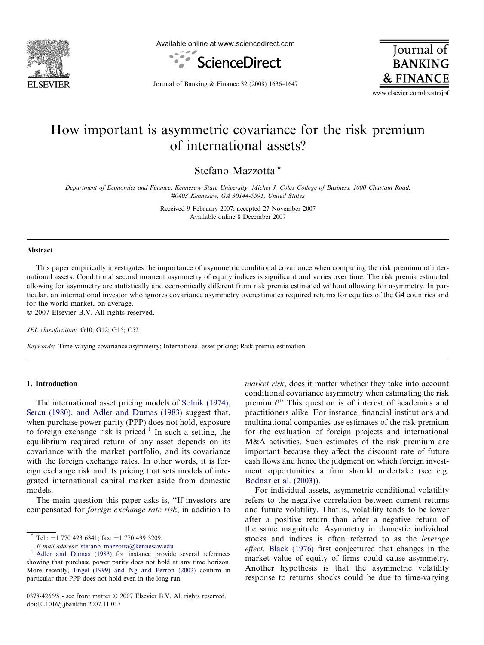

Available online at www.sciencedirect.com



**Journal** of **BANKING & FINANCE** 

Journal of Banking & Finance 32 (2008) 1636–1647

www.elsevier.com/locate/jbf

## How important is asymmetric covariance for the risk premium of international assets?

Stefano Mazzotta \*

Department of Economics and Finance, Kennesaw State University, Michel J. Coles College of Business, 1000 Chastain Road, #0403 Kennesaw, GA 30144-5591, United States

> Received 9 February 2007; accepted 27 November 2007 Available online 8 December 2007

### Abstract

This paper empirically investigates the importance of asymmetric conditional covariance when computing the risk premium of international assets. Conditional second moment asymmetry of equity indices is significant and varies over time. The risk premia estimated allowing for asymmetry are statistically and economically different from risk premia estimated without allowing for asymmetry. In particular, an international investor who ignores covariance asymmetry overestimates required returns for equities of the G4 countries and for the world market, on average.

 $© 2007 Elsevier B.V. All rights reserved.$ 

JEL classification: G10; G12; G15; C52

Keywords: Time-varying covariance asymmetry; International asset pricing; Risk premia estimation

### 1. Introduction

The international asset pricing models of [Solnik \(1974\),](#page--1-0) [Sercu \(1980\), and Adler and Dumas \(1983\)](#page--1-0) suggest that, when purchase power parity (PPP) does not hold, exposure to foreign exchange risk is priced.<sup>1</sup> In such a setting, the equilibrium required return of any asset depends on its covariance with the market portfolio, and its covariance with the foreign exchange rates. In other words, it is foreign exchange risk and its pricing that sets models of integrated international capital market aside from domestic models.

The main question this paper asks is, ''If investors are compensated for foreign exchange rate risk, in addition to

market risk, does it matter whether they take into account conditional covariance asymmetry when estimating the risk premium?" This question is of interest of academics and practitioners alike. For instance, financial institutions and multinational companies use estimates of the risk premium for the evaluation of foreign projects and international M&A activities. Such estimates of the risk premium are important because they affect the discount rate of future cash flows and hence the judgment on which foreign investment opportunities a firm should undertake (see e.g. [Bodnar et al. \(2003\)](#page--1-0)).

For individual assets, asymmetric conditional volatility refers to the negative correlation between current returns and future volatility. That is, volatility tends to be lower after a positive return than after a negative return of the same magnitude. Asymmetry in domestic individual stocks and indices is often referred to as the leverage effect. [Black \(1976\)](#page--1-0) first conjectured that changes in the market value of equity of firms could cause asymmetry. Another hypothesis is that the asymmetric volatility response to returns shocks could be due to time-varying

Tel.:  $+1$  770 423 6341; fax:  $+1$  770 499 3209.

 $E$ -mail address: [stefano\\_mazzotta@kennesaw.edu](mailto:stefano_mazzotta@kennesaw.edu)  $1$  [Adler and Dumas \(1983\)](#page--1-0) for instance provide several references showing that purchase power parity does not hold at any time horizon. More recently, [Engel \(1999\) and Ng and Perron \(2002\)](#page--1-0) confirm in particular that PPP does not hold even in the long run.

<sup>0378-4266/\$ -</sup> see front matter © 2007 Elsevier B.V. All rights reserved. doi:10.1016/j.jbankfin.2007.11.017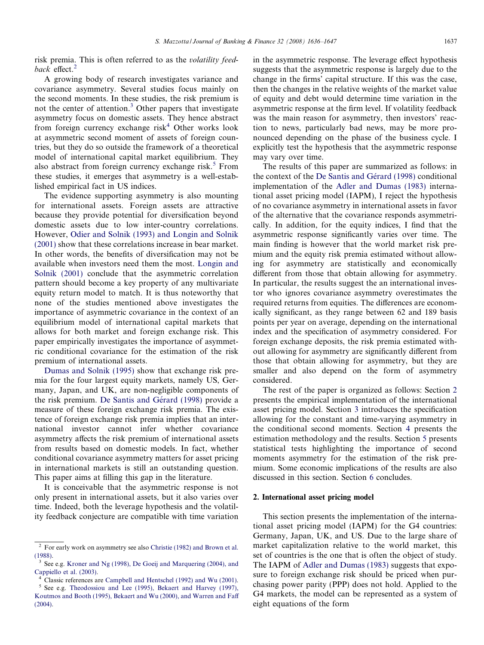risk premia. This is often referred to as the volatility feedback effect.<sup>2</sup>

A growing body of research investigates variance and covariance asymmetry. Several studies focus mainly on the second moments. In these studies, the risk premium is not the center of attention.<sup>3</sup> Other papers that investigate asymmetry focus on domestic assets. They hence abstract from foreign currency exchange  $risk<sup>4</sup>$  Other works look at asymmetric second moment of assets of foreign countries, but they do so outside the framework of a theoretical model of international capital market equilibrium. They also abstract from foreign currency exchange risk. $5$  From these studies, it emerges that asymmetry is a well-established empirical fact in US indices.

The evidence supporting asymmetry is also mounting for international assets. Foreign assets are attractive because they provide potential for diversification beyond domestic assets due to low inter-country correlations. However, [Odier and Solnik \(1993\) and Longin and Solnik](#page--1-0) [\(2001\)](#page--1-0) show that these correlations increase in bear market. In other words, the benefits of diversification may not be available when investors need them the most. [Longin and](#page--1-0) [Solnik \(2001\)](#page--1-0) conclude that the asymmetric correlation pattern should become a key property of any multivariate equity return model to match. It is thus noteworthy that none of the studies mentioned above investigates the importance of asymmetric covariance in the context of an equilibrium model of international capital markets that allows for both market and foreign exchange risk. This paper empirically investigates the importance of asymmetric conditional covariance for the estimation of the risk premium of international assets.

[Dumas and Solnik \(1995\)](#page--1-0) show that exchange risk premia for the four largest equity markets, namely US, Germany, Japan, and UK, are non-negligible components of the risk premium. De Santis and Gérard (1998) provide a measure of these foreign exchange risk premia. The existence of foreign exchange risk premia implies that an international investor cannot infer whether covariance asymmetry affects the risk premium of international assets from results based on domestic models. In fact, whether conditional covariance asymmetry matters for asset pricing in international markets is still an outstanding question. This paper aims at filling this gap in the literature.

It is conceivable that the asymmetric response is not only present in international assets, but it also varies over time. Indeed, both the leverage hypothesis and the volatility feedback conjecture are compatible with time variation in the asymmetric response. The leverage effect hypothesis suggests that the asymmetric response is largely due to the change in the firms' capital structure. If this was the case, then the changes in the relative weights of the market value of equity and debt would determine time variation in the asymmetric response at the firm level. If volatility feedback was the main reason for asymmetry, then investors' reaction to news, particularly bad news, may be more pronounced depending on the phase of the business cycle. I explicitly test the hypothesis that the asymmetric response may vary over time.

The results of this paper are summarized as follows: in the context of the De Santis and Gérard (1998) conditional implementation of the [Adler and Dumas \(1983\)](#page--1-0) international asset pricing model (IAPM), I reject the hypothesis of no covariance asymmetry in international assets in favor of the alternative that the covariance responds asymmetrically. In addition, for the equity indices, I find that the asymmetric response significantly varies over time. The main finding is however that the world market risk premium and the equity risk premia estimated without allowing for asymmetry are statistically and economically different from those that obtain allowing for asymmetry. In particular, the results suggest the an international investor who ignores covariance asymmetry overestimates the required returns from equities. The differences are economically significant, as they range between 62 and 189 basis points per year on average, depending on the international index and the specification of asymmetry considered. For foreign exchange deposits, the risk premia estimated without allowing for asymmetry are significantly different from those that obtain allowing for asymmetry, but they are smaller and also depend on the form of asymmetry considered.

The rest of the paper is organized as follows: Section 2 presents the empirical implementation of the international asset pricing model. Section [3](#page--1-0) introduces the specification allowing for the constant and time-varying asymmetry in the conditional second moments. Section [4](#page--1-0) presents the estimation methodology and the results. Section [5](#page--1-0) presents statistical tests highlighting the importance of second moments asymmetry for the estimation of the risk premium. Some economic implications of the results are also discussed in this section. Section [6](#page--1-0) concludes.

#### 2. International asset pricing model

This section presents the implementation of the international asset pricing model (IAPM) for the G4 countries: Germany, Japan, UK, and US. Due to the large share of market capitalization relative to the world market, this set of countries is the one that is often the object of study. The IAPM of [Adler and Dumas \(1983\)](#page--1-0) suggests that exposure to foreign exchange risk should be priced when purchasing power parity (PPP) does not hold. Applied to the G4 markets, the model can be represented as a system of eight equations of the form

<sup>2</sup> For early work on asymmetry see also [Christie \(1982\) and Brown et al.](#page--1-0) [\(1988\).](#page--1-0)  $\frac{3}{3}$  See e.g. [Kroner and Ng \(1998\), De Goeij and Marquering \(2004\), and](#page--1-0)

[Cappiello et al. \(2003\).](#page--1-0) <sup>4</sup> Classic references are [Campbell and Hentschel \(1992\) and Wu \(2001\)](#page--1-0). <sup>5</sup> See e.g. [Theodossiou and Lee \(1995\), Bekaert and Harvey \(1997\),](#page--1-0)

[Koutmos and Booth \(1995\), Bekaert and Wu \(2000\), and Warren and Faff](#page--1-0) [\(2004\).](#page--1-0)